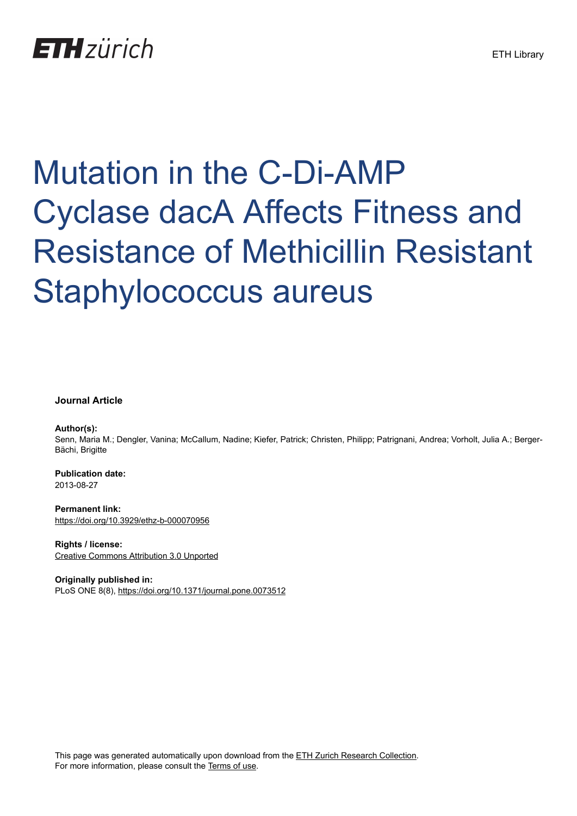## **ETH** zürich

# Mutation in the C-Di-AMP Cyclase dacA Affects Fitness and Resistance of Methicillin Resistant Staphylococcus aureus

#### **Journal Article**

#### **Author(s):**

Senn, Maria M.; Dengler, Vanina; McCallum, Nadine; Kiefer, Patrick; Christen, Philipp; Patrignani, Andrea; Vorholt, Julia A.; Berger-Bächi, Brigitte

**Publication date:** 2013-08-27

**Permanent link:** <https://doi.org/10.3929/ethz-b-000070956>

**Rights / license:** [Creative Commons Attribution 3.0 Unported](http://creativecommons.org/licenses/by/3.0/)

**Originally published in:** PLoS ONE 8(8), <https://doi.org/10.1371/journal.pone.0073512>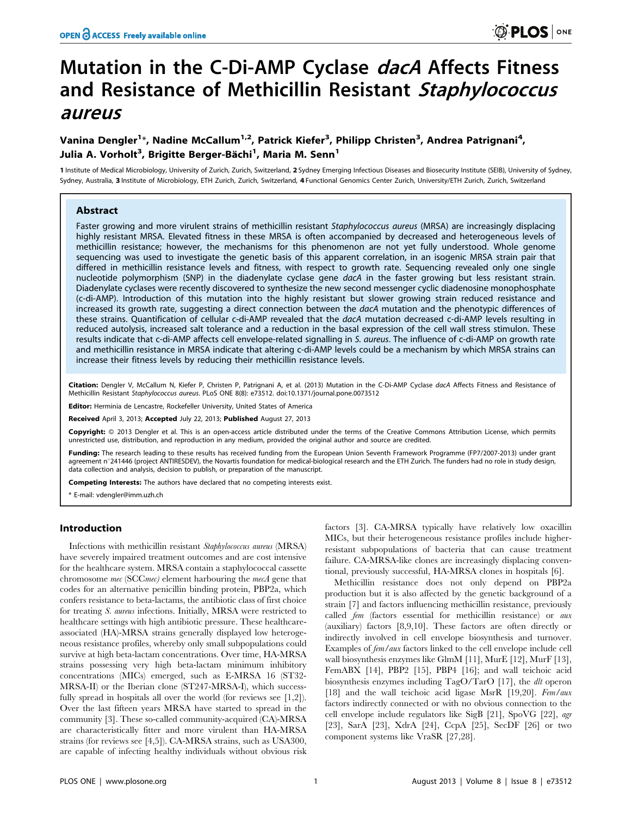### Mutation in the C-Di-AMP Cyclase *dacA* Affects Fitness and Resistance of Methicillin Resistant Staphylococcus aureus

#### Vanina Dengler<sup>1</sup>\*, Nadine McCallum<sup>1,2</sup>, Patrick Kiefer<sup>3</sup>, Philipp Christen<sup>3</sup>, Andrea Patrignani<sup>4</sup>, Julia A. Vorholt<sup>3</sup>, Brigitte Berger-Bächi<sup>1</sup>, Maria M. Senn<sup>1</sup>

1 Institute of Medical Microbiology, University of Zurich, Zurich, Switzerland, 2 Sydney Emerging Infectious Diseases and Biosecurity Institute (SEIB), University of Sydney, Sydney, Australia, 3 Institute of Microbiology, ETH Zurich, Zurich, Switzerland, 4 Functional Genomics Center Zurich, University/ETH Zurich, Zurich, Switzerland

#### Abstract

Faster growing and more virulent strains of methicillin resistant Staphylococcus aureus (MRSA) are increasingly displacing highly resistant MRSA. Elevated fitness in these MRSA is often accompanied by decreased and heterogeneous levels of methicillin resistance; however, the mechanisms for this phenomenon are not yet fully understood. Whole genome sequencing was used to investigate the genetic basis of this apparent correlation, in an isogenic MRSA strain pair that differed in methicillin resistance levels and fitness, with respect to growth rate. Sequencing revealed only one single nucleotide polymorphism (SNP) in the diadenylate cyclase gene dacA in the faster growing but less resistant strain. Diadenylate cyclases were recently discovered to synthesize the new second messenger cyclic diadenosine monophosphate (c-di-AMP). Introduction of this mutation into the highly resistant but slower growing strain reduced resistance and increased its growth rate, suggesting a direct connection between the dacA mutation and the phenotypic differences of these strains. Quantification of cellular c-di-AMP revealed that the dacA mutation decreased c-di-AMP levels resulting in reduced autolysis, increased salt tolerance and a reduction in the basal expression of the cell wall stress stimulon. These results indicate that c-di-AMP affects cell envelope-related signalling in S. aureus. The influence of c-di-AMP on growth rate and methicillin resistance in MRSA indicate that altering c-di-AMP levels could be a mechanism by which MRSA strains can increase their fitness levels by reducing their methicillin resistance levels.

Citation: Dengler V, McCallum N, Kiefer P, Christen P, Patrignani A, et al. (2013) Mutation in the C-Di-AMP Cyclase dacA Affects Fitness and Resistance of Methicillin Resistant Staphylococcus aureus. PLoS ONE 8(8): e73512. doi:10.1371/journal.pone.0073512

Editor: Herminia de Lencastre, Rockefeller University, United States of America

Received April 3, 2013; Accepted July 22, 2013; Published August 27, 2013

Copyright: © 2013 Dengler et al. This is an open-access article distributed under the terms of the Creative Commons Attribution License, which permits unrestricted use, distribution, and reproduction in any medium, provided the original author and source are credited.

Funding: The research leading to these results has received funding from the European Union Seventh Framework Programme (FP7/2007-2013) under grant agreement n°241446 (project ANTIRESDEV), the Novartis foundation for medical-biological research and the ETH Zurich. The funders had no role in study design, data collection and analysis, decision to publish, or preparation of the manuscript.

Competing Interests: The authors have declared that no competing interests exist.

\* E-mail: vdengler@imm.uzh.ch

#### Introduction

Infections with methicillin resistant Staphylococcus aureus (MRSA) have severely impaired treatment outcomes and are cost intensive for the healthcare system. MRSA contain a staphylococcal cassette chromosome mec (SCCmec) element harbouring the mecA gene that codes for an alternative penicillin binding protein, PBP2a, which confers resistance to beta-lactams, the antibiotic class of first choice for treating S. aureus infections. Initially, MRSA were restricted to healthcare settings with high antibiotic pressure. These healthcareassociated (HA)-MRSA strains generally displayed low heterogeneous resistance profiles, whereby only small subpopulations could survive at high beta-lactam concentrations. Over time, HA-MRSA strains possessing very high beta-lactam minimum inhibitory concentrations (MICs) emerged, such as E-MRSA 16 (ST32- MRSA-II) or the Iberian clone (ST247-MRSA-I), which successfully spread in hospitals all over the world (for reviews see [1,2]). Over the last fifteen years MRSA have started to spread in the community [3]. These so-called community-acquired (CA)-MRSA are characteristically fitter and more virulent than HA-MRSA strains (for reviews see [4,5]). CA-MRSA strains, such as USA300, are capable of infecting healthy individuals without obvious risk

factors [3]. CA-MRSA typically have relatively low oxacillin MICs, but their heterogeneous resistance profiles include higherresistant subpopulations of bacteria that can cause treatment failure. CA-MRSA-like clones are increasingly displacing conventional, previously successful, HA-MRSA clones in hospitals [6].

Methicillin resistance does not only depend on PBP2a production but it is also affected by the genetic background of a strain [7] and factors influencing methicillin resistance, previously called fem (factors essential for methicillin resistance) or aux (auxiliary) factors [8,9,10]. These factors are often directly or indirectly involved in cell envelope biosynthesis and turnover. Examples of fem/aux factors linked to the cell envelope include cell wall biosynthesis enzymes like GlmM [11], MurE [12], MurF [13], FemABX [14], PBP2 [15], PBP4 [16]; and wall teichoic acid biosynthesis enzymes including TagO/TarO [17], the dlt operon [18] and the wall teichoic acid ligase MsrR [19,20]. Fem/aux factors indirectly connected or with no obvious connection to the cell envelope include regulators like SigB [21], SpoVG [22], agr [23], SarA [23], XdrA [24], CcpA [25], SecDF [26] or two component systems like VraSR [27,28].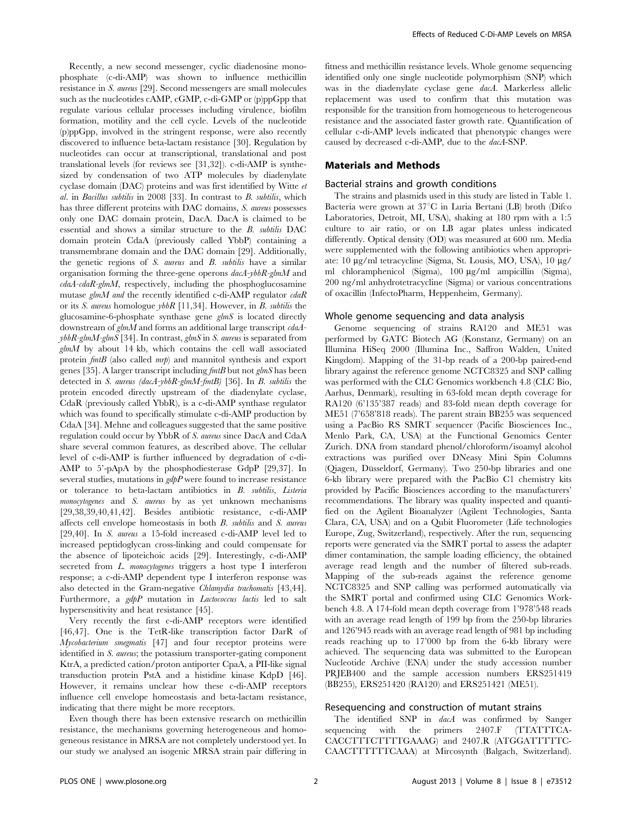Recently, a new second messenger, cyclic diadenosine monophosphate (c-di-AMP) was shown to influence methicillin resistance in S. aureus [29]. Second messengers are small molecules such as the nucleotides cAMP, cGMP, c-di-GMP or (p)ppGpp that regulate various cellular processes including virulence, biofilm formation, motility and the cell cycle. Levels of the nucleotide (p)ppGpp, involved in the stringent response, were also recently discovered to influence beta-lactam resistance [30]. Regulation by nucleotides can occur at transcriptional, translational and post translational levels (for reviews see [31,32]). c-di-AMP is synthesized by condensation of two ATP molecules by diadenylate cyclase domain (DAC) proteins and was first identified by Witte et al. in Bacillus subtilis in 2008 [33]. In contrast to B. subtilis, which has three different proteins with DAC domains, S. aureus possesses only one DAC domain protein, DacA. DacA is claimed to be essential and shows a similar structure to the B. subtilis DAC domain protein CdaA (previously called YbbP) containing a transmembrane domain and the DAC domain [29]. Additionally, the genetic regions of  $S$ . *aureus* and  $B$ . *subtilis* have a similar organisation forming the three-gene operons dacA-ybbR-glmM and  $cdaA-cdaR-glmM$ , respectively, including the phosphoglucosamine mutase glmM and the recently identified c-di-AMP regulator  $cdaR$ or its S. aureus homologue ybbR [11,34]. However, in B. subtilis the glucosamine-6-phosphate synthase gene glmS is located directly downstream of  $g/mM$  and forms an additional large transcript  $cdaA$  $ybbR$ -glmM-glmS [34]. In contrast, glmS in S. aureus is separated from  $g/mM$  by about 14 kb, which contains the cell wall associated protein  $fmtB$  (also called  $mrb$ ) and mannitol synthesis and export genes [35]. A larger transcript including fmtB but not glmS has been detected in S. aureus (dacA-ybbR-glmM-fmtB) [36]. In B. subtilis the protein encoded directly upstream of the diadenylate cyclase, CdaR (previously called YbbR), is a c-di-AMP synthase regulator which was found to specifically stimulate c-di-AMP production by CdaA [34]. Mehne and colleagues suggested that the same positive regulation could occur by YbbR of S. aureus since DacA and CdaA share several common features, as described above. The cellular level of c-di-AMP is further influenced by degradation of c-di-AMP to 5'-pApA by the phosphodiesterase GdpP [29,37]. In several studies, mutations in  $gdpP$  were found to increase resistance or tolerance to beta-lactam antibiotics in B. subtilis, Listeria monocytogenes and S. aureus by as yet unknown mechanisms [29,38,39,40,41,42]. Besides antibiotic resistance, c-di-AMP affects cell envelope homeostasis in both B. subtilis and S. aureus [29,40]. In S. aureus a 15-fold increased c-di-AMP level led to increased peptidoglycan cross-linking and could compensate for the absence of lipoteichoic acids [29]. Interestingly, c-di-AMP secreted from L. monocytogenes triggers a host type I interferon response; a c-di-AMP dependent type I interferon response was also detected in the Gram-negative Chlamydia trachomatis [43,44]. Furthermore, a gdpP mutation in Lactococcus lactis led to salt hypersensitivity and heat resistance [45].

Very recently the first c-di-AMP receptors were identified [46,47]. One is the TetR-like transcription factor DarR of Mycobacterium smegmatis [47] and four receptor proteins were identified in S. aureus; the potassium transporter-gating component KtrA, a predicted cation/proton antiporter CpaA, a PII-like signal transduction protein PstA and a histidine kinase KdpD [46]. However, it remains unclear how these c-di-AMP receptors influence cell envelope homeostasis and beta-lactam resistance, indicating that there might be more receptors.

Even though there has been extensive research on methicillin resistance, the mechanisms governing heterogeneous and homogeneous resistance in MRSA are not completely understood yet. In our study we analysed an isogenic MRSA strain pair differing in fitness and methicillin resistance levels. Whole genome sequencing identified only one single nucleotide polymorphism (SNP) which was in the diadenylate cyclase gene dacA. Markerless allelic replacement was used to confirm that this mutation was responsible for the transition from homogeneous to heterogeneous resistance and the associated faster growth rate. Quantification of cellular c-di-AMP levels indicated that phenotypic changes were caused by decreased c-di-AMP, due to the dacA-SNP.

#### Materials and Methods

#### Bacterial strains and growth conditions

The strains and plasmids used in this study are listed in Table 1. Bacteria were grown at 37°C in Luria Bertani (LB) broth (Difco Laboratories, Detroit, MI, USA), shaking at 180 rpm with a 1:5 culture to air ratio, or on LB agar plates unless indicated differently. Optical density (OD) was measured at 600 nm. Media were supplemented with the following antibiotics when appropriate: 10  $\mu$ g/ml tetracycline (Sigma, St. Lousis, MO, USA), 10  $\mu$ g/ ml chloramphenicol (Sigma), 100  $\mu$ g/ml ampicillin (Sigma), 200 ng/ml anhydrotetracycline (Sigma) or various concentrations of oxacillin (InfectoPharm, Heppenheim, Germany).

#### Whole genome sequencing and data analysis

Genome sequencing of strains RA120 and ME51 was performed by GATC Biotech AG (Konstanz, Germany) on an Illumina HiSeq 2000 (Illumina Inc., Saffron Walden, United Kingdom). Mapping of the 31-bp reads of a 200-bp paired-end library against the reference genome NCTC8325 and SNP calling was performed with the CLC Genomics workbench 4.8 (CLC Bio, Aarhus, Denmark), resulting in 63-fold mean depth coverage for RA120 (6'135'387 reads) and 83-fold mean depth coverage for ME51 (7'658'818 reads). The parent strain BB255 was sequenced using a PacBio RS SMRT sequencer (Pacific Biosciences Inc., Menlo Park, CA, USA) at the Functional Genomics Center Zurich. DNA from standard phenol/chloroform/isoamyl alcohol extractions was purified over DNeasy Mini Spin Columns (Qiagen, Düsseldorf, Germany). Two 250-bp libraries and one 6-kb library were prepared with the PacBio C1 chemistry kits provided by Pacific Biosciences according to the manufacturers' recommendations. The library was quality inspected and quantified on the Agilent Bioanalyzer (Agilent Technologies, Santa Clara, CA, USA) and on a Qubit Fluorometer (Life technologies Europe, Zug, Switzerland), respectively. After the run, sequencing reports were generated via the SMRT portal to assess the adapter dimer contamination, the sample loading efficiency, the obtained average read length and the number of filtered sub-reads. Mapping of the sub-reads against the reference genome NCTC8325 and SNP calling was performed automatically via the SMRT portal and confirmed using CLC Genomics Workbench 4.8. A 174-fold mean depth coverage from 1'978'548 reads with an average read length of 199 bp from the 250-bp libraries and 126'945 reads with an average read length of 981 bp including reads reaching up to 17'000 bp from the 6-kb library were achieved. The sequencing data was submitted to the European Nucleotide Archive (ENA) under the study accession number PRJEB400 and the sample accession numbers ERS251419 (BB255), ERS251420 (RA120) and ERS251421 (ME51).

#### Resequencing and construction of mutant strains

The identified SNP in dacA was confirmed by Sanger sequencing with the primers 2407.F (TTATTTCA-CACCTTTCTTTTGAAAG) and 2407.R (ATGGATTTTTC-CAACTTTTTTCAAA) at Mircosynth (Balgach, Switzerland).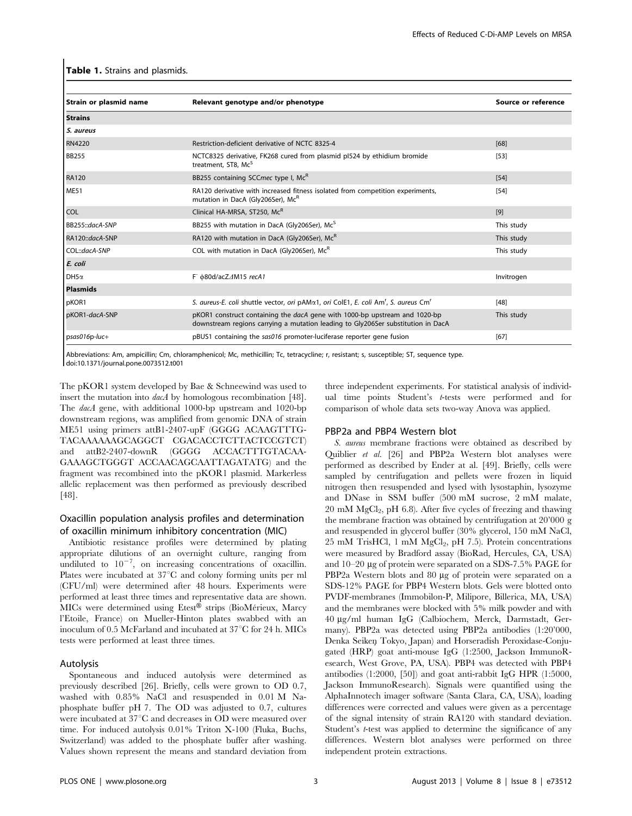#### Table 1. Strains and plasmids.

| Relevant genotype and/or phenotype                                                                                                                                    | Source or reference |  |
|-----------------------------------------------------------------------------------------------------------------------------------------------------------------------|---------------------|--|
|                                                                                                                                                                       |                     |  |
|                                                                                                                                                                       |                     |  |
| Restriction-deficient derivative of NCTC 8325-4                                                                                                                       | [68]                |  |
| NCTC8325 derivative, FK268 cured from plasmid pI524 by ethidium bromide<br>treatment, ST8, Mc <sup>5</sup>                                                            | $[53]$              |  |
| BB255 containing SCCmec type I, McR                                                                                                                                   | [54]                |  |
| RA120 derivative with increased fitness isolated from competition experiments,<br>mutation in DacA (Gly206Ser), McR                                                   | $[54]$              |  |
| Clinical HA-MRSA, ST250, McR                                                                                                                                          | [9]                 |  |
| BB255 with mutation in DacA (Gly206Ser), Mc <sup>S</sup>                                                                                                              | This study          |  |
| RA120 with mutation in DacA (Gly206Ser), McR                                                                                                                          | This study          |  |
| COL with mutation in DacA (Gly206Ser), McR                                                                                                                            | This study          |  |
|                                                                                                                                                                       |                     |  |
| F $\phi$ 80d/acZ $\Delta$ M15 recA1                                                                                                                                   | Invitrogen          |  |
|                                                                                                                                                                       |                     |  |
| S. aureus-E. coli shuttle vector, ori pAMα1, ori ColE1, E. coli Am <sup>r</sup> , S. aureus Cm <sup>r</sup>                                                           | [48]                |  |
| pKOR1 construct containing the <i>dacA</i> gene with 1000-bp upstream and 1020-bp<br>downstream regions carrying a mutation leading to Gly206Ser substitution in DacA | This study          |  |
| pBUS1 containing the sas016 promoter-luciferase reporter gene fusion                                                                                                  | [67]                |  |
|                                                                                                                                                                       |                     |  |

Abbreviations: Am, ampicillin; Cm, chloramphenicol; Mc, methicillin; Tc, tetracycline; r, resistant; s, susceptible; ST, sequence type. doi:10.1371/journal.pone.0073512.t001

The pKOR1 system developed by Bae & Schneewind was used to insert the mutation into *dacA* by homologous recombination [48]. The dacA gene, with additional 1000-bp upstream and 1020-bp downstream regions, was amplified from genomic DNA of strain ME51 using primers attB1-2407-upF (GGGG ACAAGTTTG-TACAAAAAAGCAGGCT CGACACCTCTTACTCCGTCT) and attB2-2407-downR (GGGG ACCACTTTGTACAA-GAAAGCTGGGT ACCAACAGCAATTAGATATG) and the fragment was recombined into the pKOR1 plasmid. Markerless allelic replacement was then performed as previously described [48].

#### Oxacillin population analysis profiles and determination of oxacillin minimum inhibitory concentration (MIC)

Antibiotic resistance profiles were determined by plating appropriate dilutions of an overnight culture, ranging from undiluted to  $10^{-7}$ , on increasing concentrations of oxacillin. Plates were incubated at  $37^{\circ}$ C and colony forming units per ml (CFU/ml) were determined after 48 hours. Experiments were performed at least three times and representative data are shown. MICs were determined using Etest® strips (BioMérieux, Marcy l'Etoile, France) on Mueller-Hinton plates swabbed with an inoculum of 0.5 McFarland and incubated at  $37^{\circ}$ C for 24 h. MICs tests were performed at least three times.

#### Autolysis

Spontaneous and induced autolysis were determined as previously described [26]. Briefly, cells were grown to OD 0.7, washed with 0.85% NaCl and resuspended in 0.01 M Naphosphate buffer pH 7. The OD was adjusted to 0.7, cultures were incubated at 37°C and decreases in OD were measured over time. For induced autolysis 0.01% Triton X-100 (Fluka, Buchs, Switzerland) was added to the phosphate buffer after washing. Values shown represent the means and standard deviation from three independent experiments. For statistical analysis of individual time points Student's t-tests were performed and for comparison of whole data sets two-way Anova was applied.

#### PBP2a and PBP4 Western blot

S. aureus membrane fractions were obtained as described by Quiblier et al. [26] and PBP2a Western blot analyses were performed as described by Ender at al. [49]. Briefly, cells were sampled by centrifugation and pellets were frozen in liquid nitrogen then resuspended and lysed with lysostaphin, lysozyme and DNase in SSM buffer (500 mM sucrose, 2 mM malate,  $20 \text{ mM } MgCl<sub>2</sub>$ , pH 6.8). After five cycles of freezing and thawing the membrane fraction was obtained by centrifugation at 20'000 g and resuspended in glycerol buffer (30% glycerol, 150 mM NaCl,  $25 \text{ mM TrisHCl}$ , 1 mM  $MgCl<sub>2</sub>$ , pH 7.5). Protein concentrations were measured by Bradford assay (BioRad, Hercules, CA, USA) and  $10-20$  µg of protein were separated on a SDS-7.5% PAGE for PBP2a Western blots and 80 µg of protein were separated on a SDS-12% PAGE for PBP4 Western blots. Gels were blotted onto PVDF-membranes (Immobilon-P, Milipore, Billerica, MA, USA) and the membranes were blocked with 5% milk powder and with 40 mg/ml human IgG (Calbiochem, Merck, Darmstadt, Germany). PBP2a was detected using PBP2a antibodies (1:20'000, Denka Seiken Tokyo, Japan) and Horseradish Peroxidase-Conjugated (HRP) goat anti-mouse IgG (1:2500, Jackson ImmunoResearch, West Grove, PA, USA). PBP4 was detected with PBP4 antibodies (1:2000, [50]) and goat anti-rabbit IgG HPR (1:5000, Jackson ImmunoResearch). Signals were quantified using the AlphaInnotech imager software (Santa Clara, CA, USA), loading differences were corrected and values were given as a percentage of the signal intensity of strain RA120 with standard deviation. Student's *t*-test was applied to determine the significance of any differences. Western blot analyses were performed on three independent protein extractions.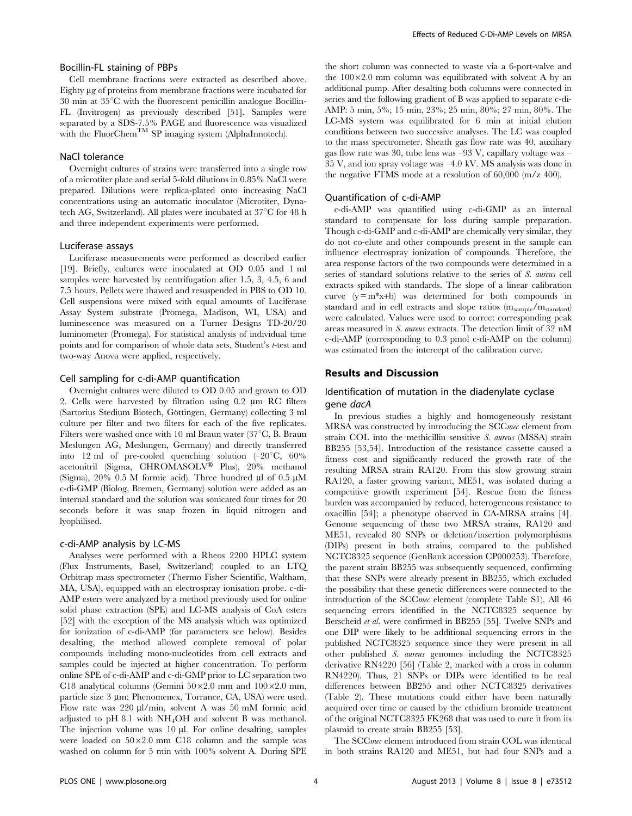#### Bocillin-FL staining of PBPs

Cell membrane fractions were extracted as described above. Eighty µg of proteins from membrane fractions were incubated for  $30$  min at  $35^{\circ}$ C with the fluorescent penicillin analogue Bocillin-FL (Invitrogen) as previously described [51]. Samples were separated by a SDS-7.5% PAGE and fluorescence was visualized with the FluorChem<sup>TM</sup> SP imaging system (AlphaInnotech).

#### NaCl tolerance

Overnight cultures of strains were transferred into a single row of a microtiter plate and serial 5-fold dilutions in 0.85% NaCl were prepared. Dilutions were replica-plated onto increasing NaCl concentrations using an automatic inoculator (Microtiter, Dynatech AG, Switzerland). All plates were incubated at  $37^{\circ}$ C for 48 h and three independent experiments were performed.

#### Luciferase assays

Luciferase measurements were performed as described earlier [19]. Briefly, cultures were inoculated at OD 0.05 and 1 ml samples were harvested by centrifugation after 1.5, 3, 4.5, 6 and 7.5 hours. Pellets were thawed and resuspended in PBS to OD 10. Cell suspensions were mixed with equal amounts of Luciferase Assay System substrate (Promega, Madison, WI, USA) and luminescence was measured on a Turner Designs TD-20/20 luminometer (Promega). For statistical analysis of individual time points and for comparison of whole data sets, Student's t-test and two-way Anova were applied, respectively.

#### Cell sampling for c-di-AMP quantification

Overnight cultures were diluted to OD 0.05 and grown to OD 2. Cells were harvested by filtration using  $0.2 \mu m$  RC filters (Sartorius Stedium Biotech, Göttingen, Germany) collecting 3 ml culture per filter and two filters for each of the five replicates. Filters were washed once with 10 ml Braun water (37 $\degree$ C, B. Braun Meslungen AG, Meslungen, Germany) and directly transferred into 12 ml of pre-cooled quenching solution  $(-20^{\circ}C, 60\%$ acetonitril (Sigma, CHROMASOLV® Plus), 20% methanol (Sigma), 20% 0.5 M formic acid). Three hundred  $\mu$ l of 0.5  $\mu$ M c-di-GMP (Biolog, Bremen, Germany) solution were added as an internal standard and the solution was sonicated four times for 20 seconds before it was snap frozen in liquid nitrogen and lyophilised.

#### c-di-AMP analysis by LC-MS

Analyses were performed with a Rheos 2200 HPLC system (Flux Instruments, Basel, Switzerland) coupled to an LTQ Orbitrap mass spectrometer (Thermo Fisher Scientific, Waltham, MA, USA), equipped with an electrospray ionisation probe. c-di-AMP esters were analyzed by a method previously used for online solid phase extraction (SPE) and LC-MS analysis of CoA esters [52] with the exception of the MS analysis which was optimized for ionization of c-di-AMP (for parameters see below). Besides desalting, the method allowed complete removal of polar compounds including mono-nucleotides from cell extracts and samples could be injected at higher concentration. To perform online SPE of c-di-AMP and c-di-GMP prior to LC separation two C18 analytical columns (Gemini  $50\times2.0$  mm and  $100\times2.0$  mm, particle size 3 µm; Phenomenex, Torrance, CA, USA) were used. Flow rate was 220 µl/min, solvent A was 50 mM formic acid adjusted to pH 8.1 with NH4OH and solvent B was methanol. The injection volume was  $10 \mu$ . For online desalting, samples were loaded on  $50\times2.0$  mm C18 column and the sample was washed on column for 5 min with 100% solvent A. During SPE

the short column was connected to waste via a 6-port-valve and the  $100\times2.0$  mm column was equilibrated with solvent A by an additional pump. After desalting both columns were connected in series and the following gradient of B was applied to separate c-di-AMP: 5 min, 5%; 15 min, 23%; 25 min, 80%; 27 min, 80%. The LC-MS system was equilibrated for 6 min at initial elution conditions between two successive analyses. The LC was coupled to the mass spectrometer. Sheath gas flow rate was 40, auxiliary gas flow rate was 30, tube lens was –93 V, capillary voltage was – 35 V, and ion spray voltage was –4.0 kV. MS analysis was done in the negative FTMS mode at a resolution of 60,000 (m/z 400).

#### Quantification of c-di-AMP

c-di-AMP was quantified using c-di-GMP as an internal standard to compensate for loss during sample preparation. Though c-di-GMP and c-di-AMP are chemically very similar, they do not co-elute and other compounds present in the sample can influence electrospray ionization of compounds. Therefore, the area response factors of the two compounds were determined in a series of standard solutions relative to the series of S. aureus cell extracts spiked with standards. The slope of a linear calibration curve  $(y = m^*x+b)$  was determined for both compounds in standard and in cell extracts and slope ratios  $(m_{sample}/m_{standard})$ were calculated. Values were used to correct corresponding peak areas measured in S. aureus extracts. The detection limit of 32 nM c-di-AMP (corresponding to 0.3 pmol c-di-AMP on the column) was estimated from the intercept of the calibration curve.

#### Results and Discussion

#### Identification of mutation in the diadenylate cyclase gene dacA

In previous studies a highly and homogeneously resistant MRSA was constructed by introducing the SCCmec element from strain COL into the methicillin sensitive S. aureus (MSSA) strain BB255 [53,54]. Introduction of the resistance cassette caused a fitness cost and significantly reduced the growth rate of the resulting MRSA strain RA120. From this slow growing strain RA120, a faster growing variant, ME51, was isolated during a competitive growth experiment [54]. Rescue from the fitness burden was accompanied by reduced, heterogeneous resistance to oxacillin [54]; a phenotype observed in CA-MRSA strains [4]. Genome sequencing of these two MRSA strains, RA120 and ME51, revealed 80 SNPs or deletion/insertion polymorphisms (DIPs) present in both strains, compared to the published NCTC8325 sequence (GenBank accession CP000253). Therefore, the parent strain BB255 was subsequently sequenced, confirming that these SNPs were already present in BB255, which excluded the possibility that these genetic differences were connected to the introduction of the SCCmec element (complete Table S1). All 46 sequencing errors identified in the NCTC8325 sequence by Berscheid et al. were confirmed in BB255 [55]. Twelve SNPs and one DIP were likely to be additional sequencing errors in the published NCTC8325 sequence since they were present in all other published S. aureus genomes including the NCTC8325 derivative RN4220 [56] (Table 2, marked with a cross in column RN4220). Thus, 21 SNPs or DIPs were identified to be real differences between BB255 and other NCTC8325 derivatives (Table 2). These mutations could either have been naturally acquired over time or caused by the ethidium bromide treatment of the original NCTC8325 FK268 that was used to cure it from its plasmid to create strain BB255 [53].

The SCCmec element introduced from strain COL was identical in both strains RA120 and ME51, but had four SNPs and a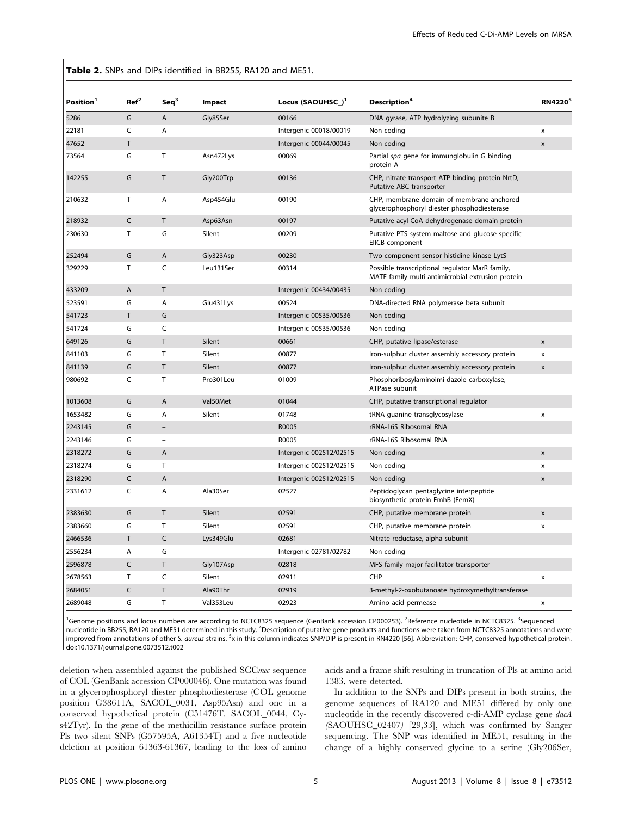Table 2. SNPs and DIPs identified in BB255, RA120 and ME51.

| Position <sup>1</sup> | Ref <sup>2</sup> | Seq <sup>3</sup> | Impact    | Locus (SAOUHSC_) <sup>1</sup> | Description <sup>4</sup>                                                                             | RN4220 <sup>5</sup> |
|-----------------------|------------------|------------------|-----------|-------------------------------|------------------------------------------------------------------------------------------------------|---------------------|
| 5286                  | G                | A                | Gly85Ser  | 00166                         | DNA gyrase, ATP hydrolyzing subunite B                                                               |                     |
| 22181                 | C                | A                |           | Intergenic 00018/00019        | Non-coding                                                                                           | X                   |
| 47652                 | T                |                  |           | Intergenic 00044/00045        | Non-coding                                                                                           | X                   |
| 73564                 | G                | Τ                | Asn472Lys | 00069                         | Partial spa gene for immunglobulin G binding<br>protein A                                            |                     |
| 142255                | G                | T                | Gly200Trp | 00136                         | CHP, nitrate transport ATP-binding protein NrtD,<br>Putative ABC transporter                         |                     |
| 210632                | Τ                | Α                | Asp454Glu | 00190                         | CHP, membrane domain of membrane-anchored<br>glycerophosphoryl diester phosphodiesterase             |                     |
| 218932                | $\mathsf C$      | T                | Asp63Asn  | 00197                         | Putative acyl-CoA dehydrogenase domain protein                                                       |                     |
| 230630                | $\mathsf T$      | G                | Silent    | 00209                         | Putative PTS system maltose-and glucose-specific<br>EIICB component                                  |                     |
| 252494                | G                | A                | Gly323Asp | 00230                         | Two-component sensor histidine kinase LytS                                                           |                     |
| 329229                | $\mathsf T$      | C                | Leu131Ser | 00314                         | Possible transcriptional regulator MarR family,<br>MATE family multi-antimicrobial extrusion protein |                     |
| 433209                | A                | T                |           | Intergenic 00434/00435        | Non-coding                                                                                           |                     |
| 523591                | G                | A                | Glu431Lys | 00524                         | DNA-directed RNA polymerase beta subunit                                                             |                     |
| 541723                | $\sf T$          | G                |           | Intergenic 00535/00536        | Non-coding                                                                                           |                     |
| 541724                | G                | C                |           | Intergenic 00535/00536        | Non-coding                                                                                           |                     |
| 649126                | G                | T                | Silent    | 00661                         | CHP, putative lipase/esterase                                                                        | X                   |
| 841103                | G                | T                | Silent    | 00877                         | Iron-sulphur cluster assembly accessory protein                                                      | x                   |
| 841139                | G                | T.               | Silent    | 00877                         | Iron-sulphur cluster assembly accessory protein                                                      | $\pmb{\mathsf{x}}$  |
| 980692                | C                | T                | Pro301Leu | 01009                         | Phosphoribosylaminoimi-dazole carboxylase,<br>ATPase subunit                                         |                     |
| 1013608               | G                | $\overline{A}$   | Val50Met  | 01044                         | CHP, putative transcriptional regulator                                                              |                     |
| 1653482               | G                | Α                | Silent    | 01748                         | tRNA-guanine transglycosylase                                                                        | x                   |
| 2243145               | G                |                  |           | R0005                         | rRNA-16S Ribosomal RNA                                                                               |                     |
| 2243146               | G                |                  |           | R0005                         | rRNA-16S Ribosomal RNA                                                                               |                     |
| 2318272               | G                | A                |           | Intergenic 002512/02515       | Non-coding                                                                                           | $\mathsf{x}$        |
| 2318274               | G                | T                |           | Intergenic 002512/02515       | Non-coding                                                                                           | x                   |
| 2318290               | C                | $\overline{A}$   |           | Intergenic 002512/02515       | Non-coding                                                                                           | X                   |
| 2331612               | C                | Α                | Ala30Ser  | 02527                         | Peptidoglycan pentaglycine interpeptide<br>biosynthetic protein FmhB (FemX)                          |                     |
| 2383630               | G                | T.               | Silent    | 02591                         | CHP, putative membrane protein                                                                       | X                   |
| 2383660               | G                | T.               | Silent    | 02591                         | CHP, putative membrane protein                                                                       | x                   |
| 2466536               | T                | C                | Lys349Glu | 02681                         | Nitrate reductase, alpha subunit                                                                     |                     |
| 2556234               | Α                | G                |           | Intergenic 02781/02782        | Non-coding                                                                                           |                     |
| 2596878               | C                | T.               | Gly107Asp | 02818                         | MFS family major facilitator transporter                                                             |                     |
| 2678563               | $\mathsf T$      | C                | Silent    | 02911                         | CHP                                                                                                  | $\pmb{\mathsf{x}}$  |
| 2684051               | C                | T                | Ala90Thr  | 02919                         | 3-methyl-2-oxobutanoate hydroxymethyltransferase                                                     |                     |
| 2689048               | G                | T                | Val353Leu | 02923                         | Amino acid permease                                                                                  | $\pmb{\mathsf{x}}$  |

<sup>1</sup>Genome positions and locus numbers are according to NCTC8325 sequence (GenBank accession CP000253). <sup>2</sup>Reference nucleotide in NCTC8325. <sup>3</sup>Sequenced nucleotide in BB255, RA120 and ME51 determined in this study. <sup>4</sup>Description of putative gene products and functions were taken from NCTC8325 annotations and were improved from annotations of other S. aureus strains. <sup>5</sup>x in this column indicates SNP/DIP is present in RN4220 [56]. Abbreviation: CHP, conserved hypothetical protein. doi:10.1371/journal.pone.0073512.t002

deletion when assembled against the published SCCmec sequence of COL (GenBank accession CP000046). One mutation was found in a glycerophosphoryl diester phosphodiesterase (COL genome position G38611A, SACOL\_0031, Asp95Asn) and one in a conserved hypothetical protein (C51476T, SACOL\_0044, Cys42Tyr). In the gene of the methicillin resistance surface protein Pls two silent SNPs (G57595A, A61354T) and a five nucleotide deletion at position 61363-61367, leading to the loss of amino acids and a frame shift resulting in truncation of Pls at amino acid 1383, were detected.

In addition to the SNPs and DIPs present in both strains, the genome sequences of RA120 and ME51 differed by only one nucleotide in the recently discovered c-di-AMP cyclase gene dacA (SAOUHSC\_02407) [29,33], which was confirmed by Sanger sequencing. The SNP was identified in ME51, resulting in the change of a highly conserved glycine to a serine (Gly206Ser,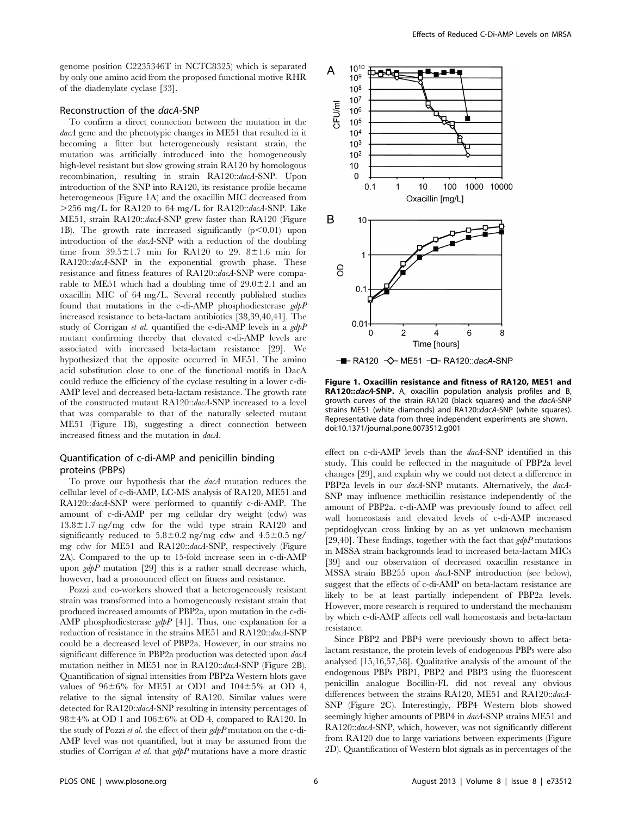genome position C2235346T in NCTC8325) which is separated by only one amino acid from the proposed functional motive RHR of the diadenylate cyclase [33].

#### Reconstruction of the dacA-SNP

To confirm a direct connection between the mutation in the dacA gene and the phenotypic changes in ME51 that resulted in it becoming a fitter but heterogeneously resistant strain, the mutation was artificially introduced into the homogeneously high-level resistant but slow growing strain RA120 by homologous recombination, resulting in strain RA120::dacA-SNP. Upon introduction of the SNP into RA120, its resistance profile became heterogeneous (Figure 1A) and the oxacillin MIC decreased from  $>$ 256 mg/L for RA120 to 64 mg/L for RA120::dacA-SNP. Like ME51, strain RA120::dacA-SNP grew faster than RA120 (Figure 1B). The growth rate increased significantly  $(p<0.01)$  upon introduction of the dacA-SNP with a reduction of the doubling time from  $39.5\pm1.7$  min for RA120 to 29. 8 $\pm1.6$  min for RA120::dacA-SNP in the exponential growth phase. These resistance and fitness features of RA120::dacA-SNP were comparable to ME51 which had a doubling time of  $29.0\pm2.1$  and an oxacillin MIC of 64 mg/L. Several recently published studies found that mutations in the c-di-AMP phosphodiesterase  $gdpP$ increased resistance to beta-lactam antibiotics [38,39,40,41]. The study of Corrigan et al. quantified the c-di-AMP levels in a  $gdpP$ mutant confirming thereby that elevated c-di-AMP levels are associated with increased beta-lactam resistance [29]. We hypothesized that the opposite occurred in ME51. The amino acid substitution close to one of the functional motifs in DacA could reduce the efficiency of the cyclase resulting in a lower c-di-AMP level and decreased beta-lactam resistance. The growth rate of the constructed mutant RA120::dacA-SNP increased to a level that was comparable to that of the naturally selected mutant ME51 (Figure 1B), suggesting a direct connection between increased fitness and the mutation in dacA.

#### Quantification of c-di-AMP and penicillin binding proteins (PBPs)

To prove our hypothesis that the dacA mutation reduces the cellular level of c-di-AMP, LC-MS analysis of RA120, ME51 and RA120::dacA-SNP were performed to quantify c-di-AMP. The amount of c-di-AMP per mg cellular dry weight (cdw) was  $13.8\pm1.7$  ng/mg cdw for the wild type strain RA120 and significantly reduced to  $5.8 \pm 0.2$  ng/mg cdw and  $4.5 \pm 0.5$  ng/ mg cdw for ME51 and RA120::dacA-SNP, respectively (Figure 2A). Compared to the up to 15-fold increase seen in c-di-AMP upon  $gdpP$  mutation [29] this is a rather small decrease which, however, had a pronounced effect on fitness and resistance.

Pozzi and co-workers showed that a heterogeneously resistant strain was transformed into a homogeneously resistant strain that produced increased amounts of PBP2a, upon mutation in the c-di-AMP phosphodiesterase  $gdpP$  [41]. Thus, one explanation for a reduction of resistance in the strains ME51 and RA120::dacA-SNP could be a decreased level of PBP2a. However, in our strains no significant difference in PBP2a production was detected upon dacA mutation neither in ME51 nor in RA120::*dacA*-SNP (Figure 2B). Quantification of signal intensities from PBP2a Western blots gave values of  $96\pm6\%$  for ME51 at OD1 and  $104\pm5\%$  at OD 4, relative to the signal intensity of RA120. Similar values were detected for RA120::dacA-SNP resulting in intensity percentages of  $98\pm4\%$  at OD 1 and  $106\pm6\%$  at OD 4, compared to RA120. In the study of Pozzi et al. the effect of their gdpP mutation on the c-di-AMP level was not quantified, but it may be assumed from the studies of Corrigan et al. that gdpP mutations have a more drastic



Figure 1. Oxacillin resistance and fitness of RA120, ME51 and RA120:: dacA-SNP. A, oxacillin population analysis profiles and B, growth curves of the strain RA120 (black squares) and the dacA-SNP strains ME51 (white diamonds) and RA120::dacA-SNP (white squares). Representative data from three independent experiments are shown. doi:10.1371/journal.pone.0073512.g001

effect on c-di-AMP levels than the dacA-SNP identified in this study. This could be reflected in the magnitude of PBP2a level changes [29], and explain why we could not detect a difference in PBP2a levels in our *dacA*-SNP mutants. Alternatively, the *dacA*-SNP may influence methicillin resistance independently of the amount of PBP2a. c-di-AMP was previously found to affect cell wall homeostasis and elevated levels of c-di-AMP increased peptidoglycan cross linking by an as yet unknown mechanism [29,40]. These findings, together with the fact that  $gdpP$  mutations in MSSA strain backgrounds lead to increased beta-lactam MICs [39] and our observation of decreased oxacillin resistance in MSSA strain BB255 upon dacA-SNP introduction (see below), suggest that the effects of c-di-AMP on beta-lactam resistance are likely to be at least partially independent of PBP2a levels. However, more research is required to understand the mechanism by which c-di-AMP affects cell wall homeostasis and beta-lactam resistance.

Since PBP2 and PBP4 were previously shown to affect betalactam resistance, the protein levels of endogenous PBPs were also analysed [15,16,57,58]. Qualitative analysis of the amount of the endogenous PBPs PBP1, PBP2 and PBP3 using the fluorescent penicillin analogue Bocillin-FL did not reveal any obvious differences between the strains RA120, ME51 and RA120::dacA-SNP (Figure 2C). Interestingly, PBP4 Western blots showed seemingly higher amounts of PBP4 in dacA-SNP strains ME51 and RA120::dacA-SNP, which, however, was not significantly different from RA120 due to large variations between experiments (Figure 2D). Quantification of Western blot signals as in percentages of the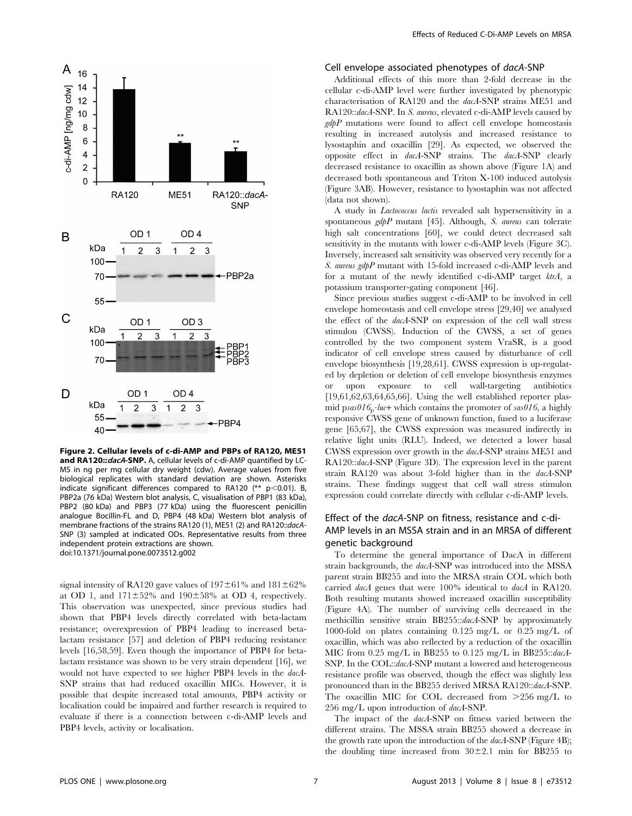

Figure 2. Cellular levels of c-di-AMP and PBPs of RA120, ME51 and RA120:: dacA-SNP. A, cellular levels of c-di-AMP quantified by LC-MS in ng per mg cellular dry weight (cdw). Average values from five biological replicates with standard deviation are shown. Asterisks indicate significant differences compared to RA120 (\*\*  $p$  < 0.01). B, PBP2a (76 kDa) Western blot analysis, C, visualisation of PBP1 (83 kDa), PBP2 (80 kDa) and PBP3 (77 kDa) using the fluorescent penicillin analogue Bocillin-FL and D, PBP4 (48 kDa) Western blot analysis of membrane fractions of the strains RA120 (1), ME51 (2) and RA120::dacA-SNP (3) sampled at indicated ODs. Representative results from three independent protein extractions are shown. doi:10.1371/journal.pone.0073512.g002

signal intensity of RA120 gave values of  $197\pm61\%$  and  $181\pm62\%$ at OD 1, and  $171\pm52\%$  and  $190\pm58\%$  at OD 4, respectively. This observation was unexpected, since previous studies had shown that PBP4 levels directly correlated with beta-lactam resistance; overexpression of PBP4 leading to increased betalactam resistance [57] and deletion of PBP4 reducing resistance levels [16,58,59]. Even though the importance of PBP4 for betalactam resistance was shown to be very strain dependent [16], we would not have expected to see higher PBP4 levels in the dacA-SNP strains that had reduced oxacillin MICs. However, it is possible that despite increased total amounts, PBP4 activity or localisation could be impaired and further research is required to evaluate if there is a connection between c-di-AMP levels and PBP4 levels, activity or localisation.

#### Cell envelope associated phenotypes of dacA-SNP

Additional effects of this more than 2-fold decrease in the cellular c-di-AMP level were further investigated by phenotypic characterisation of RA120 and the dacA-SNP strains ME51 and RA120::dacA-SNP. In S. aureus, elevated c-di-AMP levels caused by  $gdpP$  mutations were found to affect cell envelope homeostasis resulting in increased autolysis and increased resistance to lysostaphin and oxacillin [29]. As expected, we observed the opposite effect in dacA-SNP strains. The dacA-SNP clearly decreased resistance to oxacillin as shown above (Figure 1A) and decreased both spontaneous and Triton X-100 induced autolysis (Figure 3AB). However, resistance to lysostaphin was not affected (data not shown).

A study in Lactococcus lactis revealed salt hypersensitivity in a spontaneous  $gdpP$  mutant [45]. Although, S. aureus can tolerate high salt concentrations [60], we could detect decreased salt sensitivity in the mutants with lower c-di-AMP levels (Figure 3C). Inversely, increased salt sensitivity was observed very recently for a S. aureus gdpP mutant with 15-fold increased c-di-AMP levels and for a mutant of the newly identified c-di-AMP target ktrA, a potassium transporter-gating component [46].

Since previous studies suggest c-di-AMP to be involved in cell envelope homeostasis and cell envelope stress [29,40] we analysed the effect of the dacA-SNP on expression of the cell wall stress stimulon (CWSS). Induction of the CWSS, a set of genes controlled by the two component system VraSR, is a good indicator of cell envelope stress caused by disturbance of cell envelope biosynthesis [19,28,61]. CWSS expression is up-regulated by depletion or deletion of cell envelope biosynthesis enzymes or upon exposure to cell wall-targeting antibiotics  $[19,61,62,63,64,65,66]$ . Using the well established reporter plasmid psas $016_p$ -luc+ which contains the promoter of sas $016$ , a highly responsive CWSS gene of unknown function, fused to a luciferase gene [65,67], the CWSS expression was measured indirectly in relative light units (RLU). Indeed, we detected a lower basal CWSS expression over growth in the dacA-SNP strains ME51 and RA120::dacA-SNP (Figure 3D). The expression level in the parent strain RA120 was about 3-fold higher than in the dacA-SNP strains. These findings suggest that cell wall stress stimulon expression could correlate directly with cellular c-di-AMP levels.

#### Effect of the dacA-SNP on fitness, resistance and c-di-AMP levels in an MSSA strain and in an MRSA of different genetic background

To determine the general importance of DacA in different strain backgrounds, the dacA-SNP was introduced into the MSSA parent strain BB255 and into the MRSA strain COL which both carried dacA genes that were 100% identical to dacA in RA120. Both resulting mutants showed increased oxacillin susceptibility (Figure 4A). The number of surviving cells decreased in the methicillin sensitive strain BB255::dacA-SNP by approximately 1000-fold on plates containing 0.125 mg/L or 0.25 mg/L of oxacillin, which was also reflected by a reduction of the oxacillin MIC from 0.25 mg/L in BB255 to 0.125 mg/L in BB255::dacA-SNP. In the COL::dacA-SNP mutant a lowered and heterogeneous resistance profile was observed, though the effect was slightly less pronounced than in the BB255 derived MRSA RA120::dacA-SNP. The oxacillin MIC for COL decreased from  $>256$  mg/L to 256 mg/L upon introduction of dacA-SNP.

The impact of the  $dacA$ -SNP on fitness varied between the different strains. The MSSA strain BB255 showed a decrease in the growth rate upon the introduction of the dacA-SNP (Figure 4B); the doubling time increased from  $30\pm2.1$  min for BB255 to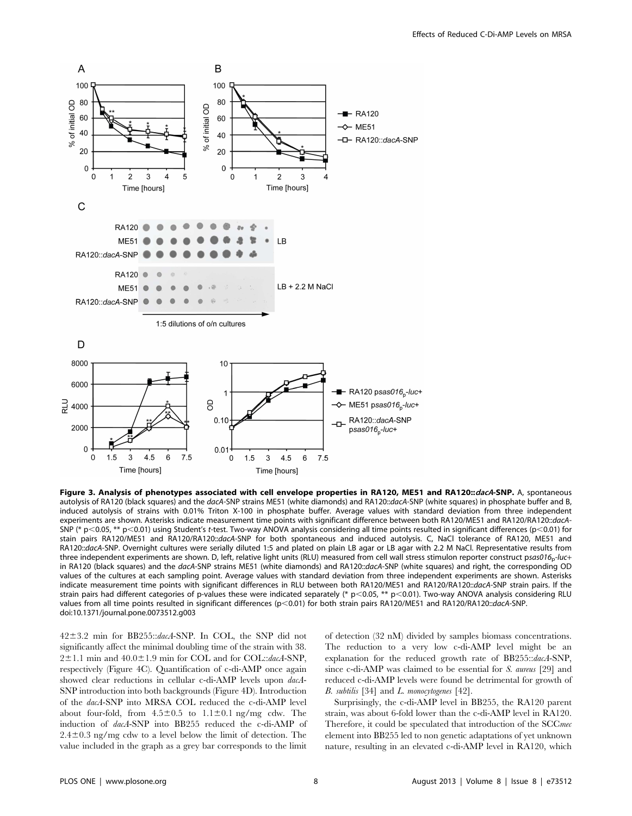

Figure 3. Analysis of phenotypes associated with cell envelope properties in RA120, ME51 and RA120::dacA-SNP. A, spontaneous autolysis of RA120 (black squares) and the dacA-SNP strains ME51 (white diamonds) and RA120::dacA-SNP (white squares) in phosphate buffer and B, induced autolysis of strains with 0.01% Triton X-100 in phosphate buffer. Average values with standard deviation from three independent experiments are shown. Asterisks indicate measurement time points with significant difference between both RA120/ME51 and RA120/RA120::dacA-SNP (\* p<0.05, \*\* p<0.01) using Student's t-test. Two-way ANOVA analysis considering all time points resulted in significant differences (p<0.01) for stain pairs RA120/ME51 and RA120/RA120::dacA-SNP for both spontaneous and induced autolysis. C, NaCl tolerance of RA120, ME51 and RA120::dacA-SNP. Overnight cultures were serially diluted 1:5 and plated on plain LB agar or LB agar with 2.2 M NaCl. Representative results from three independent experiments are shown. D, left, relative light units (RLU) measured from cell wall stress stimulon reporter construct psas016<sub>p</sub>-luc+ in RA120 (black squares) and the dacA-SNP strains ME51 (white diamonds) and RA120::dacA-SNP (white squares) and right, the corresponding OD values of the cultures at each sampling point. Average values with standard deviation from three independent experiments are shown. Asterisks indicate measurement time points with significant differences in RLU between both RA120/ME51 and RA120/RA120::dacA-SNP strain pairs. If the strain pairs had different categories of p-values these were indicated separately (\*  $p$ <0.05, \*\*  $p$ <0.01). Two-way ANOVA analysis considering RLU values from all time points resulted in significant differences (p<0.01) for both strain pairs RA120/ME51 and RA120/RA120::dacA-SNP. doi:10.1371/journal.pone.0073512.g003

 $42\pm3.2$  min for BB255::dacA-SNP. In COL, the SNP did not significantly affect the minimal doubling time of the strain with 38.  $2±1.1$  min and  $40.0±1.9$  min for COL and for COL:: $dacA$ -SNP, respectively (Figure 4C). Quantification of c-di-AMP once again showed clear reductions in cellular c-di-AMP levels upon dacA-SNP introduction into both backgrounds (Figure 4D). Introduction of the dacA-SNP into MRSA COL reduced the c-di-AMP level about four-fold, from  $4.5\pm0.5$  to  $1.1\pm0.1$  ng/mg cdw. The induction of dacA-SNP into BB255 reduced the c-di-AMP of  $2.4\pm0.3$  ng/mg cdw to a level below the limit of detection. The value included in the graph as a grey bar corresponds to the limit

of detection (32 nM) divided by samples biomass concentrations. The reduction to a very low c-di-AMP level might be an explanation for the reduced growth rate of BB255::dacA-SNP, since c-di-AMP was claimed to be essential for S. aureus [29] and reduced c-di-AMP levels were found be detrimental for growth of B. subtilis [34] and L. monocytogenes [42].

Surprisingly, the c-di-AMP level in BB255, the RA120 parent strain, was about 6-fold lower than the c-di-AMP level in RA120. Therefore, it could be speculated that introduction of the SCCmec element into BB255 led to non genetic adaptations of yet unknown nature, resulting in an elevated c-di-AMP level in RA120, which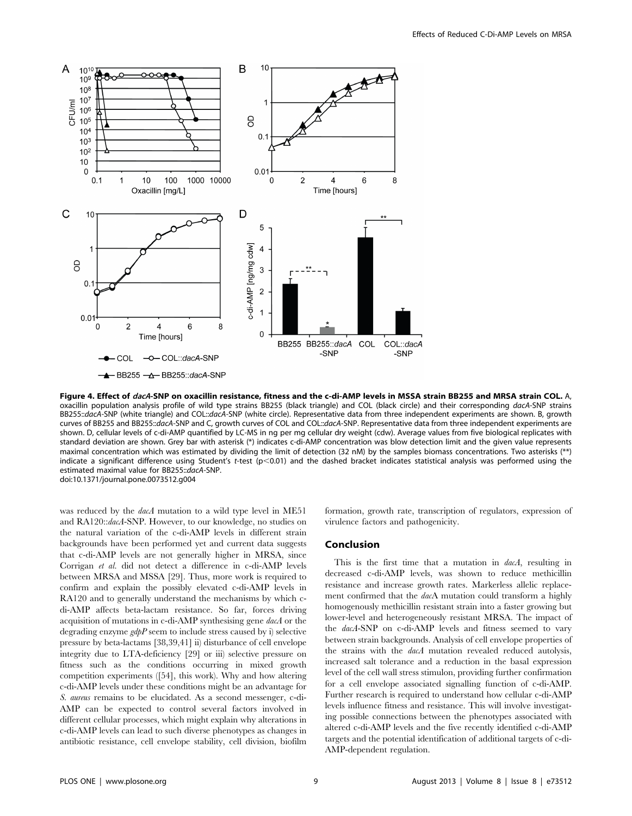

Figure 4. Effect of dacA-SNP on oxacillin resistance, fitness and the c-di-AMP levels in MSSA strain BB255 and MRSA strain COL. A, oxacillin population analysis profile of wild type strains BB255 (black triangle) and COL (black circle) and their corresponding dacA-SNP strains BB255::dacA-SNP (white triangle) and COL::dacA-SNP (white circle). Representative data from three independent experiments are shown. B, growth curves of BB255 and BB255::dacA-SNP and C, growth curves of COL and COL::dacA-SNP. Representative data from three independent experiments are shown. D, cellular levels of c-di-AMP quantified by LC-MS in ng per mg cellular dry weight (cdw). Average values from five biological replicates with standard deviation are shown. Grey bar with asterisk (\*) indicates c-di-AMP concentration was blow detection limit and the given value represents maximal concentration which was estimated by dividing the limit of detection (32 nM) by the samples biomass concentrations. Two asterisks (\*\*) indicate a significant difference using Student's t-test (p<0.01) and the dashed bracket indicates statistical analysis was performed using the estimated maximal value for BB255::dacA-SNP. doi:10.1371/journal.pone.0073512.g004

was reduced by the *dacA* mutation to a wild type level in ME51 and RA120::dacA-SNP. However, to our knowledge, no studies on the natural variation of the c-di-AMP levels in different strain backgrounds have been performed yet and current data suggests that c-di-AMP levels are not generally higher in MRSA, since Corrigan et al. did not detect a difference in c-di-AMP levels between MRSA and MSSA [29]. Thus, more work is required to confirm and explain the possibly elevated c-di-AMP levels in RA120 and to generally understand the mechanisms by which cdi-AMP affects beta-lactam resistance. So far, forces driving acquisition of mutations in c-di-AMP synthesising gene dacA or the degrading enzyme  $gdpP$  seem to include stress caused by i) selective pressure by beta-lactams [38,39,41] ii) disturbance of cell envelope integrity due to LTA-deficiency [29] or iii) selective pressure on fitness such as the conditions occurring in mixed growth competition experiments ([54], this work). Why and how altering c-di-AMP levels under these conditions might be an advantage for S. aureus remains to be elucidated. As a second messenger, c-di-AMP can be expected to control several factors involved in different cellular processes, which might explain why alterations in c-di-AMP levels can lead to such diverse phenotypes as changes in antibiotic resistance, cell envelope stability, cell division, biofilm

formation, growth rate, transcription of regulators, expression of virulence factors and pathogenicity.

#### Conclusion

This is the first time that a mutation in dacA, resulting in decreased c-di-AMP levels, was shown to reduce methicillin resistance and increase growth rates. Markerless allelic replacement confirmed that the dacA mutation could transform a highly homogenously methicillin resistant strain into a faster growing but lower-level and heterogeneously resistant MRSA. The impact of the dacA-SNP on c-di-AMP levels and fitness seemed to vary between strain backgrounds. Analysis of cell envelope properties of the strains with the dacA mutation revealed reduced autolysis, increased salt tolerance and a reduction in the basal expression level of the cell wall stress stimulon, providing further confirmation for a cell envelope associated signalling function of c-di-AMP. Further research is required to understand how cellular c-di-AMP levels influence fitness and resistance. This will involve investigating possible connections between the phenotypes associated with altered c-di-AMP levels and the five recently identified c-di-AMP targets and the potential identification of additional targets of c-di-AMP-dependent regulation.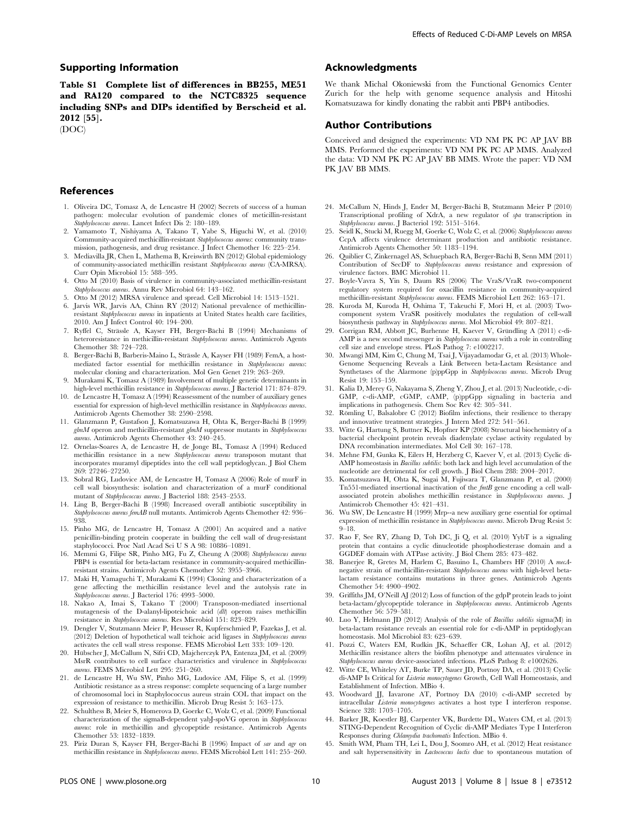#### Supporting Information

Table S1 Complete list of differences in BB255, ME51 and RA120 compared to the NCTC8325 sequence including SNPs and DIPs identified by Berscheid et al. 2012 [55].

(DOC)

#### References

- 1. Oliveira DC, Tomasz A, de Lencastre H (2002) Secrets of success of a human pathogen: molecular evolution of pandemic clones of meticillin-resistant Staphylococcus aureus. Lancet Infect Dis 2: 180–189.
- 2. Yamamoto T, Nishiyama A, Takano T, Yabe S, Higuchi W, et al. (2010) Community-acquired methicillin-resistant Staphylococcus aureus: community transmission, pathogenesis, and drug resistance. J Infect Chemother 16: 225–254.
- 3. Mediavilla JR, Chen L, Mathema B, Kreiswirth BN (2012) Global epidemiology of community-associated methicillin resistant Staphylococcus aureus (CA-MRSA). Curr Opin Microbiol 15: 588–595.
- 4. Otto M (2010) Basis of virulence in community-associated methicillin-resistant Staphylococcus aureus. Annu Rev Microbiol 64: 143–162.
- 5. Otto M (2012) MRSA virulence and spread. Cell Microbiol 14: 1513–1521.
- 6. Jarvis WR, Jarvis AA, Chinn RY (2012) National prevalence of methicillinresistant Staphylococcus aureus in inpatients at United States health care facilities, 2010. Am J Infect Control 40: 194–200.
- 7. Ryffel C, Strässle A, Kayser FH, Berger-Bächi B (1994) Mechanisms of heteroresistance in methicillin-resistant Staphylococcus aureus. Antimicrob Agents Chemother 38: 724–728.
- 8. Berger-Bächi B, Barberis-Maino L, Strässle A, Kayser FH (1989) FemA, a hostmediated factor essential for methicillin resistance in Staphylococcus aureus: molecular cloning and characterization. Mol Gen Genet 219: 263–269.
- 9. Murakami K, Tomasz A (1989) Involvement of multiple genetic determinants in high-level methicillin resistance in Staphylococcus aureus. J Bacteriol 171: 874–879.
- 10. de Lencastre H, Tomasz A (1994) Reassessment of the number of auxiliary genes essential for expression of high-level methicillin resistance in Staphylococcus aureus. Antimicrob Agents Chemother 38: 2590–2598.
- 11. Glanzmann P, Gustafson J, Komatsuzawa H, Ohta K, Berger-Bächi B (1999) glmM operon and methicillin-resistant glmM suppressor mutants in Staphylococcus aureus. Antimicrob Agents Chemother 43: 240–245.
- 12. Ornelas-Soares A, de Lencastre H, de Jonge BL, Tomasz A (1994) Reduced methicillin resistance in a new Staphylococcus aureus transposon mutant that incorporates muramyl dipeptides into the cell wall peptidoglycan. J Biol Chem 269: 27246–27250.
- 13. Sobral RG, Ludovice AM, de Lencastre H, Tomasz A (2006) Role of murF in cell wall biosynthesis: isolation and characterization of a murF conditional mutant of Staphylococcus aureus. J Bacteriol 188: 2543-2553.
- 14. Ling B, Berger-Bachi B (1998) Increased overall antibiotic susceptibility in Staphylococcus aureus femAB null mutants. Antimicrob Agents Chemother 42: 936– 938.
- 15. Pinho MG, de Lencastre H, Tomasz A (2001) An acquired and a native penicillin-binding protein cooperate in building the cell wall of drug-resistant staphylococci. Proc Natl Acad Sci U S A 98: 10886–10891.
- 16. Memmi G, Filipe SR, Pinho MG, Fu Z, Cheung A (2008) Staphylococcus aureus PBP4 is essential for beta-lactam resistance in community-acquired methicillinresistant strains. Antimicrob Agents Chemother 52: 3955–3966.
- 17. Maki H, Yamaguchi T, Murakami K (1994) Cloning and characterization of a gene affecting the methicillin resistance level and the autolysis rate in Staphylococcus aureus. J Bacteriol 176: 4993–5000.
- 18. Nakao A, Imai S, Takano T (2000) Transposon-mediated insertional mutagenesis of the D-alanyl-lipoteichoic acid (dlt) operon raises methicillin resistance in Staphylococcus aureus. Res Microbiol 151: 823-829.
- 19. Dengler V, Stutzmann Meier P, Heusser R, Kupferschmied P, Fazekas J, et al. (2012) Deletion of hypothetical wall teichoic acid ligases in Staphylococcus aureus activates the cell wall stress response. FEMS Microbiol Lett 333: 109–120.
- 20. Hübscher J, McCallum N, Sifri CD, Majcherczyk PA, Entenza JM, et al. (2009) MsrR contributes to cell surface characteristics and virulence in Staphylococcus aureus. FEMS Microbiol Lett 295: 251–260.
- 21. de Lencastre H, Wu SW, Pinho MG, Ludovice AM, Filipe S, et al. (1999) Antibiotic resistance as a stress response: complete sequencing of a large number of chromosomal loci in Staphylococcus aureus strain COL that impact on the expression of resistance to methicillin. Microb Drug Resist 5: 163–175.
- 22. Schulthess B, Meier S, Homerova D, Goerke C, Wolz C, et al. (2009) Functional characterization of the sigmaB-dependent yabJ-spoVG operon in Staphylococcus aureus: role in methicillin and glycopeptide resistance. Antimicrob Agents Chemother 53: 1832–1839.
- 23. Piriz Duran S, Kayser FH, Berger-Bächi B (1996) Impact of sar and agr on methicillin resistance in Staphylococcus aureus. FEMS Microbiol Lett 141: 255–260.

#### Acknowledgments

We thank Michal Okoniewski from the Functional Genomics Center Zurich for the help with genome sequence analysis and Hitoshi Komatsuzawa for kindly donating the rabbit anti PBP4 antibodies.

#### Author Contributions

Conceived and designed the experiments: VD NM PK PC AP JAV BB MMS. Performed the experiments: VD NM PK PC AP MMS. Analyzed the data: VD NM PK PC AP JAV BB MMS. Wrote the paper: VD NM PK JAV BB MMS.

- 24. McCallum N, Hinds J, Ender M, Berger-Bächi B, Stutzmann Meier P (2010) Transcriptional profiling of XdrA, a new regulator of spa transcription in Staphylococcus aureus. J Bacteriol 192: 5151–5164.
- 25. Seidl K, Stucki M, Ruegg M, Goerke C, Wolz C, et al. (2006) Staphylococcus aureus CcpA affects virulence determinant production and antibiotic resistance. Antimicrob Agents Chemother 50: 1183–1194.
- 26. Quiblier C, Zinkernagel AS, Schuepbach RA, Berger-Bächi B, Senn MM (2011) Contribution of SecDF to Staphylococcus aureus resistance and expression of virulence factors. BMC Microbiol 11.
- 27. Boyle-Vavra S, Yin S, Daum RS (2006) The VraS/VraR two-component regulatory system required for oxacillin resistance in community-acquired methicillin-resistant Staphylococcus aureus. FEMS Microbiol Lett 262: 163–171.
- 28. Kuroda M, Kuroda H, Oshima T, Takeuchi F, Mori H, et al. (2003) Twocomponent system VraSR positively modulates the regulation of cell-wall biosynthesis pathway in Staphylococcus aureus. Mol Microbiol 49: 807–821.
- 29. Corrigan RM, Abbott JC, Burhenne H, Kaever V, Gründling A (2011) c-di-AMP is a new second messenger in Staphylococcus aureus with a role in controlling cell size and envelope stress. PLoS Pathog 7: e1002217.
- 30. Mwangi MM, Kim C, Chung M, Tsai J, Vijayadamodar G, et al. (2013) Whole-Genome Sequencing Reveals a Link Between beta-Lactam Resistance and Synthetases of the Alarmone (p)ppGpp in Staphylococcus aureus. Microb Drug Resist 19: 153–159.
- 31. Kalia D, Merey G, Nakayama S, Zheng Y, Zhou J, et al. (2013) Nucleotide, c-di-GMP, c-di-AMP, cGMP, cAMP, (p)ppGpp signaling in bacteria and implications in pathogenesis. Chem Soc Rev 42: 305–341.
- 32. Römling U, Balsalobre C (2012) Biofilm infections, their resilience to therapy and innovative treatment strategies. J Intern Med 272: 541–561.
- 33. Witte G, Hartung S, Buttner K, Hopfner KP (2008) Structural biochemistry of a bacterial checkpoint protein reveals diadenylate cyclase activity regulated by DNA recombination intermediates. Mol Cell 30: 167–178.
- 34. Mehne FM, Gunka K, Eilers H, Herzberg C, Kaever V, et al. (2013) Cyclic di-AMP homeostasis in Bacillus subtilis: both lack and high level accumulation of the nucleotide are detrimental for cell growth. J Biol Chem 288: 2004–2017.
- 35. Komatsuzawa H, Ohta K, Sugai M, Fujiwara T, Glanzmann P, et al. (2000) Tn551-mediated insertional inactivation of the fmtB gene encoding a cell wallassociated protein abolishes methicillin resistance in Staphylococcus aureus. J Antimicrob Chemother 45: 421–431.
- 36. Wu SW, De Lencastre H (1999) Mrp--a new auxiliary gene essential for optimal expression of methicillin resistance in Staphylococcus aureus. Microb Drug Resist 5: 9–18.
- 37. Rao F, See RY, Zhang D, Toh DC, Ji Q, et al. (2010) YybT is a signaling protein that contains a cyclic dinucleotide phosphodiesterase domain and a GGDEF domain with ATPase activity. J Biol Chem 285: 473–482.
- 38. Banerjee R, Gretes M, Harlem C, Basuino L, Chambers HF (2010) A mecAnegative strain of methicillin-resistant Staphylococcus aureus with high-level betalactam resistance contains mutations in three genes. Antimicrob Agents Chemother 54: 4900–4902.
- 39. Griffiths JM, O'Neill AJ (2012) Loss of function of the gdpP protein leads to joint beta-lactam/glycopeptide tolerance in Staphylococcus aureus. Antimicrob Agents Chemother 56: 579–581.
- 40. Luo Y, Helmann JD (2012) Analysis of the role of Bacillus subtilis sigma(M) in beta-lactam resistance reveals an essential role for c-di-AMP in peptidoglycan homeostasis. Mol Microbiol 83: 623–639.
- 41. Pozzi C, Waters EM, Rudkin JK, Schaeffer CR, Lohan AJ, et al. (2012) Methicillin resistance alters the biofilm phenotype and attenuates virulence in Staphylococcus aureus device-associated infections. PLoS Pathog 8: e1002626.
- 42. Witte CE, Whiteley AT, Burke TP, Sauer JD, Portnoy DA, et al. (2013) Cyclic di-AMP Is Critical for Listeria monocytogenes Growth, Cell Wall Homeostasis, and Establishment of Infection. MBio 4.
- 43. Woodward JJ, Iavarone AT, Portnoy DA (2010) c-di-AMP secreted by intracellular Listeria monocytogenes activates a host type I interferon response. Science 328: 1703–1705.
- 44. Barker JR, Koestler BJ, Carpenter VK, Burdette DL, Waters CM, et al. (2013) STING-Dependent Recognition of Cyclic di-AMP Mediates Type I Interferon Responses during Chlamydia trachomatis Infection. MBio 4.
- 45. Smith WM, Pham TH, Lei L, Dou J, Soomro AH, et al. (2012) Heat resistance and salt hypersensitivity in *Lactococcus lactis* due to spontaneous mutation of